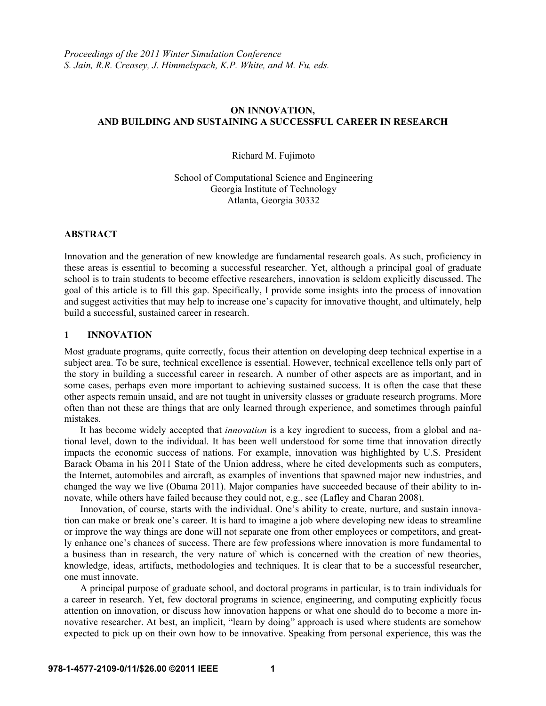# **ON INNOVATION, AND BUILDING AND SUSTAINING A SUCCESSFUL CAREER IN RESEARCH**

Richard M. Fujimoto

School of Computational Science and Engineering Georgia Institute of Technology Atlanta, Georgia 30332

## **ABSTRACT**

Innovation and the generation of new knowledge are fundamental research goals. As such, proficiency in these areas is essential to becoming a successful researcher. Yet, although a principal goal of graduate school is to train students to become effective researchers, innovation is seldom explicitly discussed. The goal of this article is to fill this gap. Specifically, I provide some insights into the process of innovation and suggest activities that may help to increase one's capacity for innovative thought, and ultimately, help build a successful, sustained career in research.

# **1 INNOVATION**

Most graduate programs, quite correctly, focus their attention on developing deep technical expertise in a subject area. To be sure, technical excellence is essential. However, technical excellence tells only part of the story in building a successful career in research. A number of other aspects are as important, and in some cases, perhaps even more important to achieving sustained success. It is often the case that these other aspects remain unsaid, and are not taught in university classes or graduate research programs. More often than not these are things that are only learned through experience, and sometimes through painful mistakes.

It has become widely accepted that *innovation* is a key ingredient to success, from a global and national level, down to the individual. It has been well understood for some time that innovation directly impacts the economic success of nations. For example, innovation was highlighted by U.S. President Barack Obama in his 2011 State of the Union address, where he cited developments such as computers, the Internet, automobiles and aircraft, as examples of inventions that spawned major new industries, and changed the way we live (Obama 2011). Major companies have succeeded because of their ability to innovate, while others have failed because they could not, e.g., see (Lafley and Charan 2008).

Innovation, of course, starts with the individual. One's ability to create, nurture, and sustain innovation can make or break one's career. It is hard to imagine a job where developing new ideas to streamline or improve the way things are done will not separate one from other employees or competitors, and greatly enhance one's chances of success. There are few professions where innovation is more fundamental to a business than in research, the very nature of which is concerned with the creation of new theories, knowledge, ideas, artifacts, methodologies and techniques. It is clear that to be a successful researcher, one must innovate.

A principal purpose of graduate school, and doctoral programs in particular, is to train individuals for a career in research. Yet, few doctoral programs in science, engineering, and computing explicitly focus attention on innovation, or discuss how innovation happens or what one should do to become a more innovative researcher. At best, an implicit, "learn by doing" approach is used where students are somehow expected to pick up on their own how to be innovative. Speaking from personal experience, this was the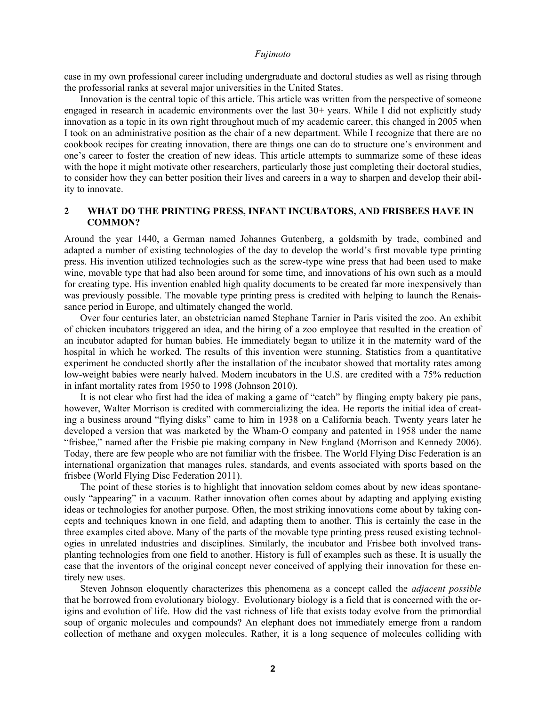case in my own professional career including undergraduate and doctoral studies as well as rising through the professorial ranks at several major universities in the United States.

Innovation is the central topic of this article. This article was written from the perspective of someone engaged in research in academic environments over the last 30+ years. While I did not explicitly study innovation as a topic in its own right throughout much of my academic career, this changed in 2005 when I took on an administrative position as the chair of a new department. While I recognize that there are no cookbook recipes for creating innovation, there are things one can do to structure one's environment and one's career to foster the creation of new ideas. This article attempts to summarize some of these ideas with the hope it might motivate other researchers, particularly those just completing their doctoral studies, to consider how they can better position their lives and careers in a way to sharpen and develop their ability to innovate.

# **2 WHAT DO THE PRINTING PRESS, INFANT INCUBATORS, AND FRISBEES HAVE IN COMMON?**

Around the year 1440, a German named Johannes Gutenberg, a goldsmith by trade, combined and adapted a number of existing technologies of the day to develop the world's first movable type printing press. His invention utilized technologies such as the screw-type wine press that had been used to make wine, movable type that had also been around for some time, and innovations of his own such as a mould for creating type. His invention enabled high quality documents to be created far more inexpensively than was previously possible. The movable type printing press is credited with helping to launch the Renaissance period in Europe, and ultimately changed the world.

Over four centuries later, an obstetrician named Stephane Tarnier in Paris visited the zoo. An exhibit of chicken incubators triggered an idea, and the hiring of a zoo employee that resulted in the creation of an incubator adapted for human babies. He immediately began to utilize it in the maternity ward of the hospital in which he worked. The results of this invention were stunning. Statistics from a quantitative experiment he conducted shortly after the installation of the incubator showed that mortality rates among low-weight babies were nearly halved. Modern incubators in the U.S. are credited with a 75% reduction in infant mortality rates from 1950 to 1998 (Johnson 2010).

It is not clear who first had the idea of making a game of "catch" by flinging empty bakery pie pans, however, Walter Morrison is credited with commercializing the idea. He reports the initial idea of creating a business around "flying disks" came to him in 1938 on a California beach. Twenty years later he developed a version that was marketed by the Wham-O company and patented in 1958 under the name "frisbee," named after the Frisbie pie making company in New England (Morrison and Kennedy 2006). Today, there are few people who are not familiar with the frisbee. The World Flying Disc Federation is an international organization that manages rules, standards, and events associated with sports based on the frisbee (World Flying Disc Federation 2011).

The point of these stories is to highlight that innovation seldom comes about by new ideas spontaneously "appearing" in a vacuum. Rather innovation often comes about by adapting and applying existing ideas or technologies for another purpose. Often, the most striking innovations come about by taking concepts and techniques known in one field, and adapting them to another. This is certainly the case in the three examples cited above. Many of the parts of the movable type printing press reused existing technologies in unrelated industries and disciplines. Similarly, the incubator and Frisbee both involved transplanting technologies from one field to another. History is full of examples such as these. It is usually the case that the inventors of the original concept never conceived of applying their innovation for these entirely new uses.

Steven Johnson eloquently characterizes this phenomena as a concept called the *adjacent possible* that he borrowed from evolutionary biology. Evolutionary biology is a field that is concerned with the origins and evolution of life. How did the vast richness of life that exists today evolve from the primordial soup of organic molecules and compounds? An elephant does not immediately emerge from a random collection of methane and oxygen molecules. Rather, it is a long sequence of molecules colliding with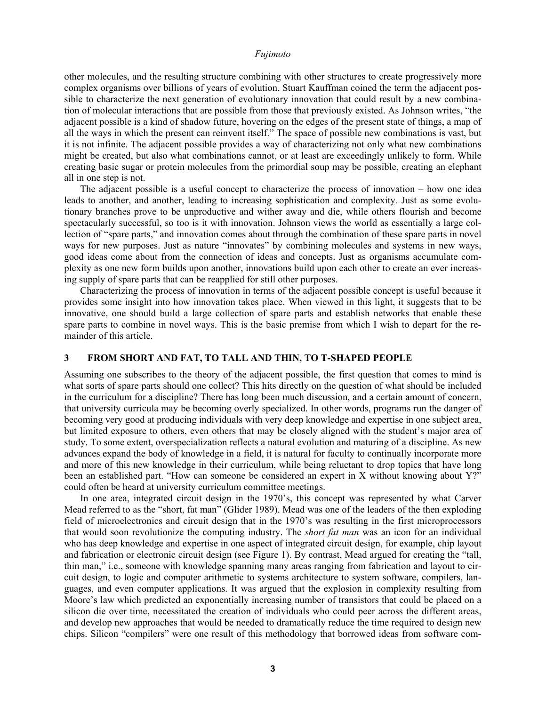other molecules, and the resulting structure combining with other structures to create progressively more complex organisms over billions of years of evolution. Stuart Kauffman coined the term the adjacent possible to characterize the next generation of evolutionary innovation that could result by a new combination of molecular interactions that are possible from those that previously existed. As Johnson writes, "the adjacent possible is a kind of shadow future, hovering on the edges of the present state of things, a map of all the ways in which the present can reinvent itself." The space of possible new combinations is vast, but it is not infinite. The adjacent possible provides a way of characterizing not only what new combinations might be created, but also what combinations cannot, or at least are exceedingly unlikely to form. While creating basic sugar or protein molecules from the primordial soup may be possible, creating an elephant all in one step is not.

The adjacent possible is a useful concept to characterize the process of innovation – how one idea leads to another, and another, leading to increasing sophistication and complexity. Just as some evolutionary branches prove to be unproductive and wither away and die, while others flourish and become spectacularly successful, so too is it with innovation. Johnson views the world as essentially a large collection of "spare parts," and innovation comes about through the combination of these spare parts in novel ways for new purposes. Just as nature "innovates" by combining molecules and systems in new ways, good ideas come about from the connection of ideas and concepts. Just as organisms accumulate complexity as one new form builds upon another, innovations build upon each other to create an ever increasing supply of spare parts that can be reapplied for still other purposes.

Characterizing the process of innovation in terms of the adjacent possible concept is useful because it provides some insight into how innovation takes place. When viewed in this light, it suggests that to be innovative, one should build a large collection of spare parts and establish networks that enable these spare parts to combine in novel ways. This is the basic premise from which I wish to depart for the remainder of this article.

# **3 FROM SHORT AND FAT, TO TALL AND THIN, TO T-SHAPED PEOPLE**

Assuming one subscribes to the theory of the adjacent possible, the first question that comes to mind is what sorts of spare parts should one collect? This hits directly on the question of what should be included in the curriculum for a discipline? There has long been much discussion, and a certain amount of concern, that university curricula may be becoming overly specialized. In other words, programs run the danger of becoming very good at producing individuals with very deep knowledge and expertise in one subject area, but limited exposure to others, even others that may be closely aligned with the student's major area of study. To some extent, overspecialization reflects a natural evolution and maturing of a discipline. As new advances expand the body of knowledge in a field, it is natural for faculty to continually incorporate more and more of this new knowledge in their curriculum, while being reluctant to drop topics that have long been an established part. "How can someone be considered an expert in X without knowing about Y?" could often be heard at university curriculum committee meetings.

In one area, integrated circuit design in the 1970's, this concept was represented by what Carver Mead referred to as the "short, fat man" (Glider 1989). Mead was one of the leaders of the then exploding field of microelectronics and circuit design that in the 1970's was resulting in the first microprocessors that would soon revolutionize the computing industry. The *short fat man* was an icon for an individual who has deep knowledge and expertise in one aspect of integrated circuit design, for example, chip layout and fabrication or electronic circuit design (see Figure 1). By contrast, Mead argued for creating the "tall, thin man," i.e., someone with knowledge spanning many areas ranging from fabrication and layout to circuit design, to logic and computer arithmetic to systems architecture to system software, compilers, languages, and even computer applications. It was argued that the explosion in complexity resulting from Moore's law which predicted an exponentially increasing number of transistors that could be placed on a silicon die over time, necessitated the creation of individuals who could peer across the different areas, and develop new approaches that would be needed to dramatically reduce the time required to design new chips. Silicon "compilers" were one result of this methodology that borrowed ideas from software com-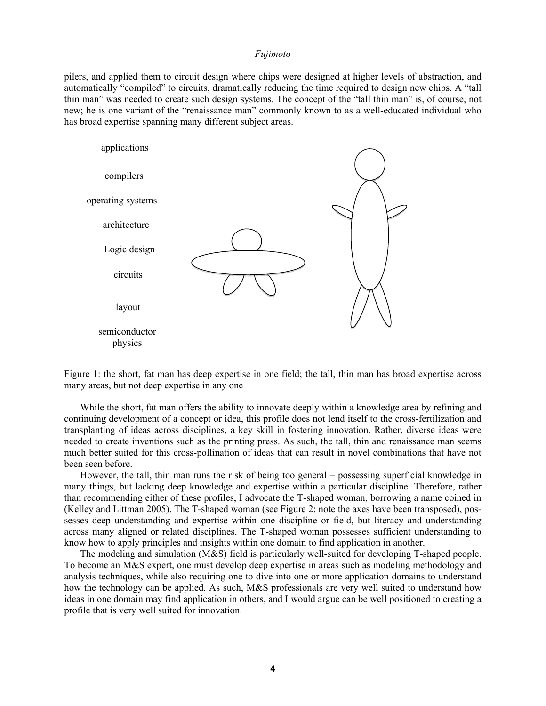pilers, and applied them to circuit design where chips were designed at higher levels of abstraction, and automatically "compiled" to circuits, dramatically reducing the time required to design new chips. A "tall thin man" was needed to create such design systems. The concept of the "tall thin man" is, of course, not new; he is one variant of the "renaissance man" commonly known to as a well-educated individual who has broad expertise spanning many different subject areas.



Figure 1: the short, fat man has deep expertise in one field; the tall, thin man has broad expertise across many areas, but not deep expertise in any one

While the short, fat man offers the ability to innovate deeply within a knowledge area by refining and continuing development of a concept or idea, this profile does not lend itself to the cross-fertilization and transplanting of ideas across disciplines, a key skill in fostering innovation. Rather, diverse ideas were needed to create inventions such as the printing press. As such, the tall, thin and renaissance man seems much better suited for this cross-pollination of ideas that can result in novel combinations that have not been seen before.

However, the tall, thin man runs the risk of being too general – possessing superficial knowledge in many things, but lacking deep knowledge and expertise within a particular discipline. Therefore, rather than recommending either of these profiles, I advocate the T-shaped woman, borrowing a name coined in (Kelley and Littman 2005). The T-shaped woman (see Figure 2; note the axes have been transposed), possesses deep understanding and expertise within one discipline or field, but literacy and understanding across many aligned or related disciplines. The T-shaped woman possesses sufficient understanding to know how to apply principles and insights within one domain to find application in another.

The modeling and simulation (M&S) field is particularly well-suited for developing T-shaped people. To become an M&S expert, one must develop deep expertise in areas such as modeling methodology and analysis techniques, while also requiring one to dive into one or more application domains to understand how the technology can be applied. As such, M&S professionals are very well suited to understand how ideas in one domain may find application in others, and I would argue can be well positioned to creating a profile that is very well suited for innovation.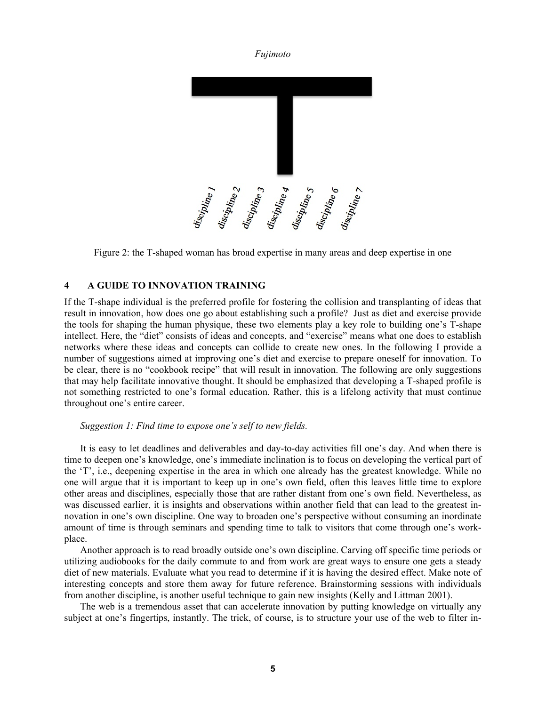

Figure 2: the T-shaped woman has broad expertise in many areas and deep expertise in one

# **4 A GUIDE TO INNOVATION TRAINING**

If the T-shape individual is the preferred profile for fostering the collision and transplanting of ideas that result in innovation, how does one go about establishing such a profile? Just as diet and exercise provide the tools for shaping the human physique, these two elements play a key role to building one's T-shape intellect. Here, the "diet" consists of ideas and concepts, and "exercise" means what one does to establish networks where these ideas and concepts can collide to create new ones. In the following I provide a number of suggestions aimed at improving one's diet and exercise to prepare oneself for innovation. To be clear, there is no "cookbook recipe" that will result in innovation. The following are only suggestions that may help facilitate innovative thought. It should be emphasized that developing a T-shaped profile is not something restricted to one's formal education. Rather, this is a lifelong activity that must continue throughout one's entire career.

# *Suggestion 1: Find time to expose one's self to new fields.*

It is easy to let deadlines and deliverables and day-to-day activities fill one's day. And when there is time to deepen one's knowledge, one's immediate inclination is to focus on developing the vertical part of the 'T', i.e., deepening expertise in the area in which one already has the greatest knowledge. While no one will argue that it is important to keep up in one's own field, often this leaves little time to explore other areas and disciplines, especially those that are rather distant from one's own field. Nevertheless, as was discussed earlier, it is insights and observations within another field that can lead to the greatest innovation in one's own discipline. One way to broaden one's perspective without consuming an inordinate amount of time is through seminars and spending time to talk to visitors that come through one's workplace.

Another approach is to read broadly outside one's own discipline. Carving off specific time periods or utilizing audiobooks for the daily commute to and from work are great ways to ensure one gets a steady diet of new materials. Evaluate what you read to determine if it is having the desired effect. Make note of interesting concepts and store them away for future reference. Brainstorming sessions with individuals from another discipline, is another useful technique to gain new insights (Kelly and Littman 2001).

The web is a tremendous asset that can accelerate innovation by putting knowledge on virtually any subject at one's fingertips, instantly. The trick, of course, is to structure your use of the web to filter in-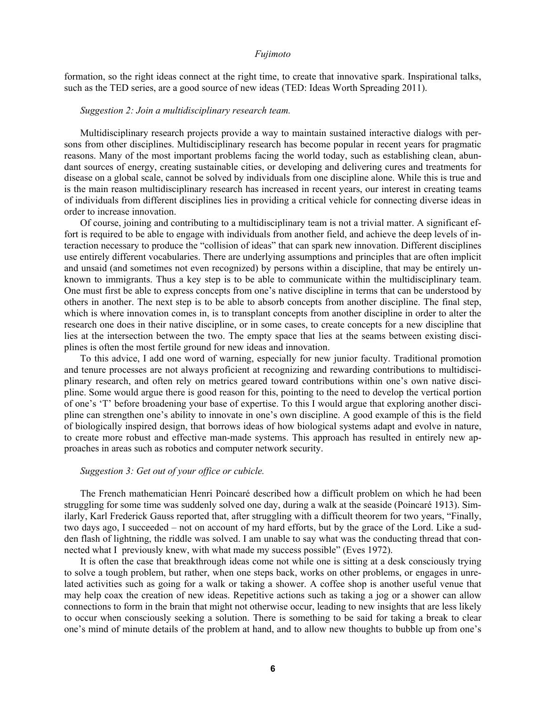formation, so the right ideas connect at the right time, to create that innovative spark. Inspirational talks, such as the TED series, are a good source of new ideas (TED: Ideas Worth Spreading 2011).

# *Suggestion 2: Join a multidisciplinary research team.*

Multidisciplinary research projects provide a way to maintain sustained interactive dialogs with persons from other disciplines. Multidisciplinary research has become popular in recent years for pragmatic reasons. Many of the most important problems facing the world today, such as establishing clean, abundant sources of energy, creating sustainable cities, or developing and delivering cures and treatments for disease on a global scale, cannot be solved by individuals from one discipline alone. While this is true and is the main reason multidisciplinary research has increased in recent years, our interest in creating teams of individuals from different disciplines lies in providing a critical vehicle for connecting diverse ideas in order to increase innovation.

Of course, joining and contributing to a multidisciplinary team is not a trivial matter. A significant effort is required to be able to engage with individuals from another field, and achieve the deep levels of interaction necessary to produce the "collision of ideas" that can spark new innovation. Different disciplines use entirely different vocabularies. There are underlying assumptions and principles that are often implicit and unsaid (and sometimes not even recognized) by persons within a discipline, that may be entirely unknown to immigrants. Thus a key step is to be able to communicate within the multidisciplinary team. One must first be able to express concepts from one's native discipline in terms that can be understood by others in another. The next step is to be able to absorb concepts from another discipline. The final step, which is where innovation comes in, is to transplant concepts from another discipline in order to alter the research one does in their native discipline, or in some cases, to create concepts for a new discipline that lies at the intersection between the two. The empty space that lies at the seams between existing disciplines is often the most fertile ground for new ideas and innovation.

To this advice, I add one word of warning, especially for new junior faculty. Traditional promotion and tenure processes are not always proficient at recognizing and rewarding contributions to multidisciplinary research, and often rely on metrics geared toward contributions within one's own native discipline. Some would argue there is good reason for this, pointing to the need to develop the vertical portion of one's 'T' before broadening your base of expertise. To this I would argue that exploring another discipline can strengthen one's ability to innovate in one's own discipline. A good example of this is the field of biologically inspired design, that borrows ideas of how biological systems adapt and evolve in nature, to create more robust and effective man-made systems. This approach has resulted in entirely new approaches in areas such as robotics and computer network security.

# *Suggestion 3: Get out of your office or cubicle.*

 The French mathematician Henri Poincaré described how a difficult problem on which he had been struggling for some time was suddenly solved one day, during a walk at the seaside (Poincaré 1913). Similarly, Karl Frederick Gauss reported that, after struggling with a difficult theorem for two years, "Finally, two days ago, I succeeded – not on account of my hard efforts, but by the grace of the Lord. Like a sudden flash of lightning, the riddle was solved. I am unable to say what was the conducting thread that connected what I previously knew, with what made my success possible" (Eves 1972).

 It is often the case that breakthrough ideas come not while one is sitting at a desk consciously trying to solve a tough problem, but rather, when one steps back, works on other problems, or engages in unrelated activities such as going for a walk or taking a shower. A coffee shop is another useful venue that may help coax the creation of new ideas. Repetitive actions such as taking a jog or a shower can allow connections to form in the brain that might not otherwise occur, leading to new insights that are less likely to occur when consciously seeking a solution. There is something to be said for taking a break to clear one's mind of minute details of the problem at hand, and to allow new thoughts to bubble up from one's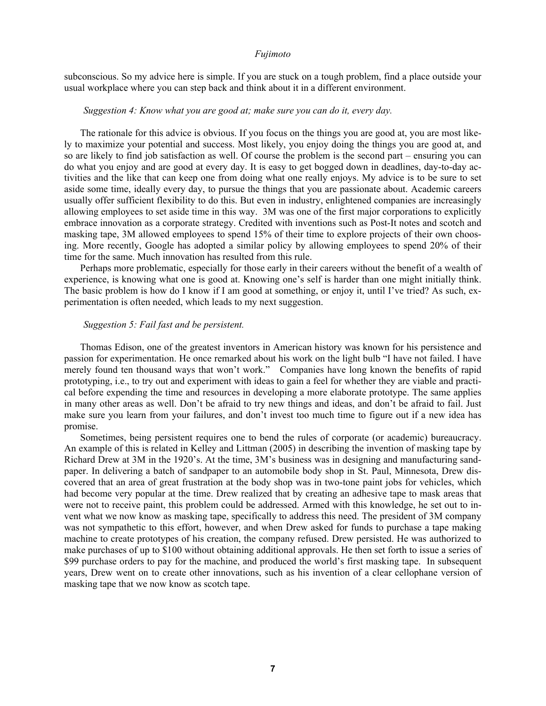subconscious. So my advice here is simple. If you are stuck on a tough problem, find a place outside your usual workplace where you can step back and think about it in a different environment.

## *Suggestion 4: Know what you are good at; make sure you can do it, every day.*

The rationale for this advice is obvious. If you focus on the things you are good at, you are most likely to maximize your potential and success. Most likely, you enjoy doing the things you are good at, and so are likely to find job satisfaction as well. Of course the problem is the second part – ensuring you can do what you enjoy and are good at every day. It is easy to get bogged down in deadlines, day-to-day activities and the like that can keep one from doing what one really enjoys. My advice is to be sure to set aside some time, ideally every day, to pursue the things that you are passionate about. Academic careers usually offer sufficient flexibility to do this. But even in industry, enlightened companies are increasingly allowing employees to set aside time in this way. 3M was one of the first major corporations to explicitly embrace innovation as a corporate strategy. Credited with inventions such as Post-It notes and scotch and masking tape, 3M allowed employees to spend 15% of their time to explore projects of their own choosing. More recently, Google has adopted a similar policy by allowing employees to spend 20% of their time for the same. Much innovation has resulted from this rule.

Perhaps more problematic, especially for those early in their careers without the benefit of a wealth of experience, is knowing what one is good at. Knowing one's self is harder than one might initially think. The basic problem is how do I know if I am good at something, or enjoy it, until I've tried? As such, experimentation is often needed, which leads to my next suggestion.

# *Suggestion 5: Fail fast and be persistent.*

Thomas Edison, one of the greatest inventors in American history was known for his persistence and passion for experimentation. He once remarked about his work on the light bulb "I have not failed. I have merely found ten thousand ways that won't work." Companies have long known the benefits of rapid prototyping, i.e., to try out and experiment with ideas to gain a feel for whether they are viable and practical before expending the time and resources in developing a more elaborate prototype. The same applies in many other areas as well. Don't be afraid to try new things and ideas, and don't be afraid to fail. Just make sure you learn from your failures, and don't invest too much time to figure out if a new idea has promise.

Sometimes, being persistent requires one to bend the rules of corporate (or academic) bureaucracy. An example of this is related in Kelley and Littman (2005) in describing the invention of masking tape by Richard Drew at 3M in the 1920's. At the time, 3M's business was in designing and manufacturing sandpaper. In delivering a batch of sandpaper to an automobile body shop in St. Paul, Minnesota, Drew discovered that an area of great frustration at the body shop was in two-tone paint jobs for vehicles, which had become very popular at the time. Drew realized that by creating an adhesive tape to mask areas that were not to receive paint, this problem could be addressed. Armed with this knowledge, he set out to invent what we now know as masking tape, specifically to address this need. The president of 3M company was not sympathetic to this effort, however, and when Drew asked for funds to purchase a tape making machine to create prototypes of his creation, the company refused. Drew persisted. He was authorized to make purchases of up to \$100 without obtaining additional approvals. He then set forth to issue a series of \$99 purchase orders to pay for the machine, and produced the world's first masking tape. In subsequent years, Drew went on to create other innovations, such as his invention of a clear cellophane version of masking tape that we now know as scotch tape.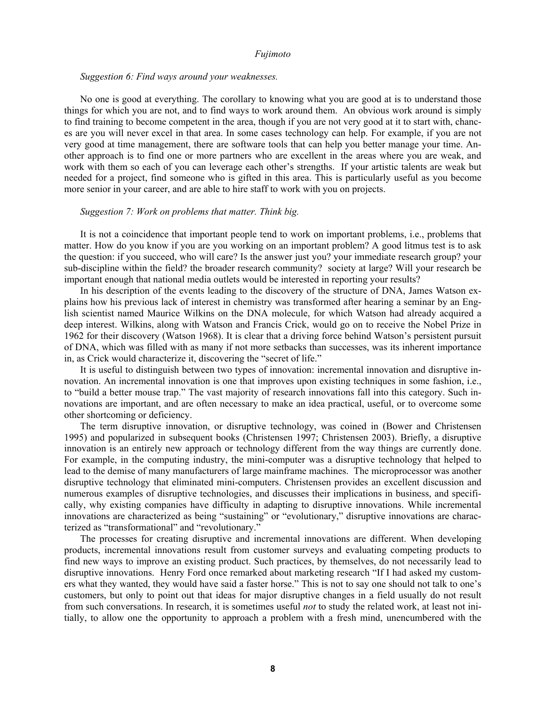#### *Suggestion 6: Find ways around your weaknesses.*

No one is good at everything. The corollary to knowing what you are good at is to understand those things for which you are not, and to find ways to work around them. An obvious work around is simply to find training to become competent in the area, though if you are not very good at it to start with, chances are you will never excel in that area. In some cases technology can help. For example, if you are not very good at time management, there are software tools that can help you better manage your time. Another approach is to find one or more partners who are excellent in the areas where you are weak, and work with them so each of you can leverage each other's strengths. If your artistic talents are weak but needed for a project, find someone who is gifted in this area. This is particularly useful as you become more senior in your career, and are able to hire staff to work with you on projects.

## *Suggestion 7: Work on problems that matter. Think big.*

It is not a coincidence that important people tend to work on important problems, i.e., problems that matter. How do you know if you are you working on an important problem? A good litmus test is to ask the question: if you succeed, who will care? Is the answer just you? your immediate research group? your sub-discipline within the field? the broader research community? society at large? Will your research be important enough that national media outlets would be interested in reporting your results?

In his description of the events leading to the discovery of the structure of DNA, James Watson explains how his previous lack of interest in chemistry was transformed after hearing a seminar by an English scientist named Maurice Wilkins on the DNA molecule, for which Watson had already acquired a deep interest. Wilkins, along with Watson and Francis Crick, would go on to receive the Nobel Prize in 1962 for their discovery (Watson 1968). It is clear that a driving force behind Watson's persistent pursuit of DNA, which was filled with as many if not more setbacks than successes, was its inherent importance in, as Crick would characterize it, discovering the "secret of life."

It is useful to distinguish between two types of innovation: incremental innovation and disruptive innovation. An incremental innovation is one that improves upon existing techniques in some fashion, i.e., to "build a better mouse trap." The vast majority of research innovations fall into this category. Such innovations are important, and are often necessary to make an idea practical, useful, or to overcome some other shortcoming or deficiency.

The term disruptive innovation, or disruptive technology, was coined in (Bower and Christensen 1995) and popularized in subsequent books (Christensen 1997; Christensen 2003). Briefly, a disruptive innovation is an entirely new approach or technology different from the way things are currently done. For example, in the computing industry, the mini-computer was a disruptive technology that helped to lead to the demise of many manufacturers of large mainframe machines. The microprocessor was another disruptive technology that eliminated mini-computers. Christensen provides an excellent discussion and numerous examples of disruptive technologies, and discusses their implications in business, and specifically, why existing companies have difficulty in adapting to disruptive innovations. While incremental innovations are characterized as being "sustaining" or "evolutionary," disruptive innovations are characterized as "transformational" and "revolutionary."

The processes for creating disruptive and incremental innovations are different. When developing products, incremental innovations result from customer surveys and evaluating competing products to find new ways to improve an existing product. Such practices, by themselves, do not necessarily lead to disruptive innovations. Henry Ford once remarked about marketing research "If I had asked my customers what they wanted, they would have said a faster horse." This is not to say one should not talk to one's customers, but only to point out that ideas for major disruptive changes in a field usually do not result from such conversations. In research, it is sometimes useful *not* to study the related work, at least not initially, to allow one the opportunity to approach a problem with a fresh mind, unencumbered with the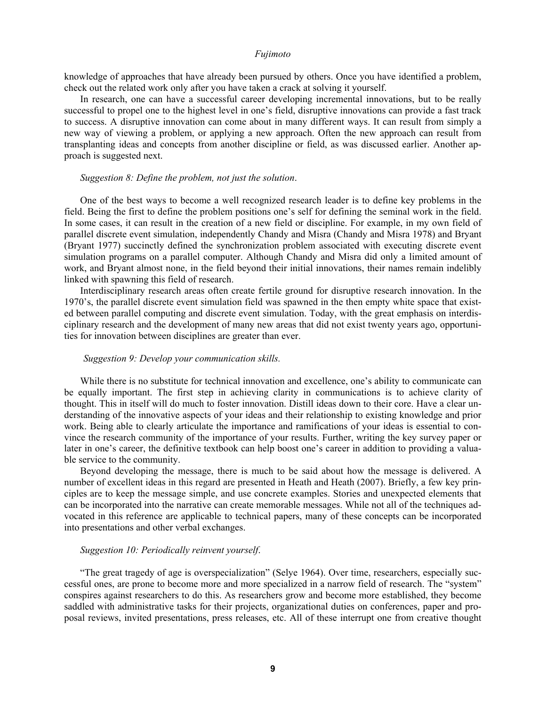knowledge of approaches that have already been pursued by others. Once you have identified a problem, check out the related work only after you have taken a crack at solving it yourself.

In research, one can have a successful career developing incremental innovations, but to be really successful to propel one to the highest level in one's field, disruptive innovations can provide a fast track to success. A disruptive innovation can come about in many different ways. It can result from simply a new way of viewing a problem, or applying a new approach. Often the new approach can result from transplanting ideas and concepts from another discipline or field, as was discussed earlier. Another approach is suggested next.

# *Suggestion 8: Define the problem, not just the solution*.

One of the best ways to become a well recognized research leader is to define key problems in the field. Being the first to define the problem positions one's self for defining the seminal work in the field. In some cases, it can result in the creation of a new field or discipline. For example, in my own field of parallel discrete event simulation, independently Chandy and Misra (Chandy and Misra 1978) and Bryant (Bryant 1977) succinctly defined the synchronization problem associated with executing discrete event simulation programs on a parallel computer. Although Chandy and Misra did only a limited amount of work, and Bryant almost none, in the field beyond their initial innovations, their names remain indelibly linked with spawning this field of research.

Interdisciplinary research areas often create fertile ground for disruptive research innovation. In the 1970's, the parallel discrete event simulation field was spawned in the then empty white space that existed between parallel computing and discrete event simulation. Today, with the great emphasis on interdisciplinary research and the development of many new areas that did not exist twenty years ago, opportunities for innovation between disciplines are greater than ever.

# *Suggestion 9: Develop your communication skills.*

While there is no substitute for technical innovation and excellence, one's ability to communicate can be equally important. The first step in achieving clarity in communications is to achieve clarity of thought. This in itself will do much to foster innovation. Distill ideas down to their core. Have a clear understanding of the innovative aspects of your ideas and their relationship to existing knowledge and prior work. Being able to clearly articulate the importance and ramifications of your ideas is essential to convince the research community of the importance of your results. Further, writing the key survey paper or later in one's career, the definitive textbook can help boost one's career in addition to providing a valuable service to the community.

Beyond developing the message, there is much to be said about how the message is delivered. A number of excellent ideas in this regard are presented in Heath and Heath (2007). Briefly, a few key principles are to keep the message simple, and use concrete examples. Stories and unexpected elements that can be incorporated into the narrative can create memorable messages. While not all of the techniques advocated in this reference are applicable to technical papers, many of these concepts can be incorporated into presentations and other verbal exchanges.

## *Suggestion 10: Periodically reinvent yourself*.

"The great tragedy of age is overspecialization" (Selye 1964). Over time, researchers, especially successful ones, are prone to become more and more specialized in a narrow field of research. The "system" conspires against researchers to do this. As researchers grow and become more established, they become saddled with administrative tasks for their projects, organizational duties on conferences, paper and proposal reviews, invited presentations, press releases, etc. All of these interrupt one from creative thought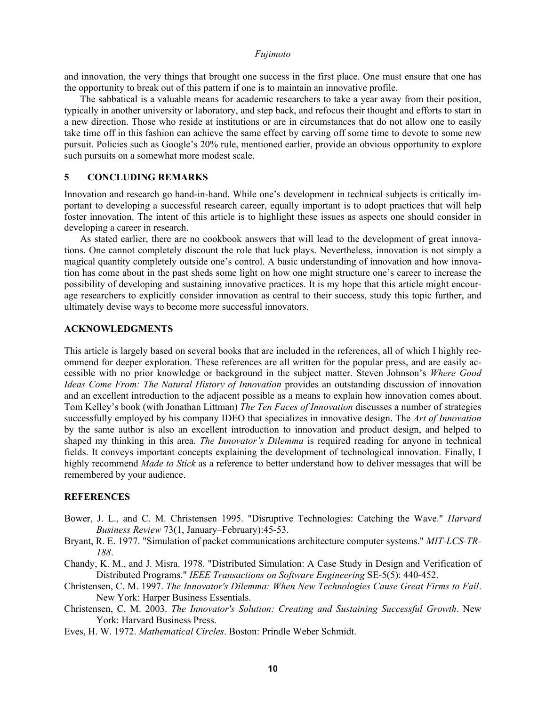and innovation, the very things that brought one success in the first place. One must ensure that one has the opportunity to break out of this pattern if one is to maintain an innovative profile.

The sabbatical is a valuable means for academic researchers to take a year away from their position, typically in another university or laboratory, and step back, and refocus their thought and efforts to start in a new direction. Those who reside at institutions or are in circumstances that do not allow one to easily take time off in this fashion can achieve the same effect by carving off some time to devote to some new pursuit. Policies such as Google's 20% rule, mentioned earlier, provide an obvious opportunity to explore such pursuits on a somewhat more modest scale.

# **5 CONCLUDING REMARKS**

Innovation and research go hand-in-hand. While one's development in technical subjects is critically important to developing a successful research career, equally important is to adopt practices that will help foster innovation. The intent of this article is to highlight these issues as aspects one should consider in developing a career in research.

 As stated earlier, there are no cookbook answers that will lead to the development of great innovations. One cannot completely discount the role that luck plays. Nevertheless, innovation is not simply a magical quantity completely outside one's control. A basic understanding of innovation and how innovation has come about in the past sheds some light on how one might structure one's career to increase the possibility of developing and sustaining innovative practices. It is my hope that this article might encourage researchers to explicitly consider innovation as central to their success, study this topic further, and ultimately devise ways to become more successful innovators.

# **ACKNOWLEDGMENTS**

This article is largely based on several books that are included in the references, all of which I highly recommend for deeper exploration. These references are all written for the popular press, and are easily accessible with no prior knowledge or background in the subject matter. Steven Johnson's *Where Good Ideas Come From: The Natural History of Innovation* provides an outstanding discussion of innovation and an excellent introduction to the adjacent possible as a means to explain how innovation comes about. Tom Kelley's book (with Jonathan Littman) *The Ten Faces of Innovation* discusses a number of strategies successfully employed by his company IDEO that specializes in innovative design. The *Art of Innovation* by the same author is also an excellent introduction to innovation and product design, and helped to shaped my thinking in this area. *The Innovator's Dilemma* is required reading for anyone in technical fields. It conveys important concepts explaining the development of technological innovation. Finally, I highly recommend *Made to Stick* as a reference to better understand how to deliver messages that will be remembered by your audience.

# **REFERENCES**

- Bower, J. L., and C. M. Christensen 1995. "Disruptive Technologies: Catching the Wave." *Harvard Business Review* 73(1, January–February):45-53.
- Bryant, R. E. 1977. "Simulation of packet communications architecture computer systems." *MIT-LCS-TR-188*.
- Chandy, K. M., and J. Misra. 1978. "Distributed Simulation: A Case Study in Design and Verification of Distributed Programs." *IEEE Transactions on Software Engineering* SE-5(5): 440-452.
- Christensen, C. M. 1997. *The Innovator's Dilemma: When New Technologies Cause Great Firms to Fail*. New York: Harper Business Essentials.
- Christensen, C. M. 2003. *The Innovator's Solution: Creating and Sustaining Successful Growth*. New York: Harvard Business Press.
- Eves, H. W. 1972. *Mathematical Circles*. Boston: Prindle Weber Schmidt.